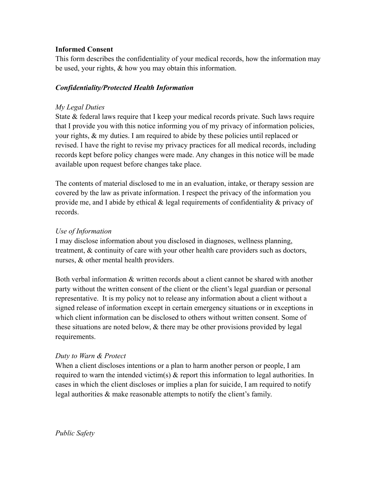# **Informed Consent**

This form describes the confidentiality of your medical records, how the information may be used, your rights, & how you may obtain this information.

# *Confidentiality/Protected Health Information*

# *My Legal Duties*

State & federal laws require that I keep your medical records private. Such laws require that I provide you with this notice informing you of my privacy of information policies, your rights, & my duties. I am required to abide by these policies until replaced or revised. I have the right to revise my privacy practices for all medical records, including records kept before policy changes were made. Any changes in this notice will be made available upon request before changes take place.

The contents of material disclosed to me in an evaluation, intake, or therapy session are covered by the law as private information. I respect the privacy of the information you provide me, and I abide by ethical & legal requirements of confidentiality & privacy of records.

# *Use of Information*

I may disclose information about you disclosed in diagnoses, wellness planning, treatment, & continuity of care with your other health care providers such as doctors, nurses, & other mental health providers.

Both verbal information & written records about a client cannot be shared with another party without the written consent of the client or the client's legal guardian or personal representative. It is my policy not to release any information about a client without a signed release of information except in certain emergency situations or in exceptions in which client information can be disclosed to others without written consent. Some of these situations are noted below, & there may be other provisions provided by legal requirements.

# *Duty to Warn & Protect*

When a client discloses intentions or a plan to harm another person or people, I am required to warn the intended victim(s) & report this information to legal authorities. In cases in which the client discloses or implies a plan for suicide, I am required to notify legal authorities & make reasonable attempts to notify the client's family.

*Public Safety*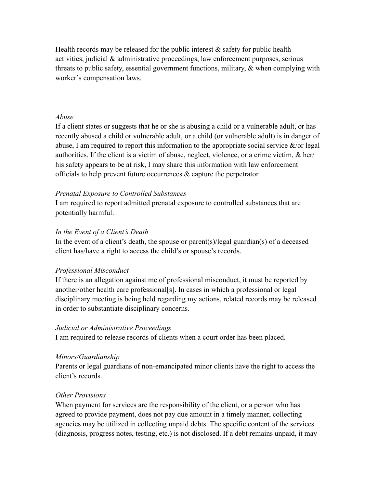Health records may be released for the public interest  $\&$  safety for public health activities, judicial & administrative proceedings, law enforcement purposes, serious threats to public safety, essential government functions, military,  $\&$  when complying with worker's compensation laws.

### *Abuse*

If a client states or suggests that he or she is abusing a child or a vulnerable adult, or has recently abused a child or vulnerable adult, or a child (or vulnerable adult) is in danger of abuse, I am required to report this information to the appropriate social service  $\&$ /or legal authorities. If the client is a victim of abuse, neglect, violence, or a crime victim, & her/ his safety appears to be at risk, I may share this information with law enforcement officials to help prevent future occurrences & capture the perpetrator.

#### *Prenatal Exposure to Controlled Substances*

I am required to report admitted prenatal exposure to controlled substances that are potentially harmful.

## *In the Event of a Client's Death*

In the event of a client's death, the spouse or parent(s)/legal guardian(s) of a deceased client has/have a right to access the child's or spouse's records.

#### *Professional Misconduct*

If there is an allegation against me of professional misconduct, it must be reported by another/other health care professional[s]. In cases in which a professional or legal disciplinary meeting is being held regarding my actions, related records may be released in order to substantiate disciplinary concerns.

#### *Judicial or Administrative Proceedings*

I am required to release records of clients when a court order has been placed.

#### *Minors/Guardianship*

Parents or legal guardians of non-emancipated minor clients have the right to access the client's records.

## *Other Provisions*

When payment for services are the responsibility of the client, or a person who has agreed to provide payment, does not pay due amount in a timely manner, collecting agencies may be utilized in collecting unpaid debts. The specific content of the services (diagnosis, progress notes, testing, etc.) is not disclosed. If a debt remains unpaid, it may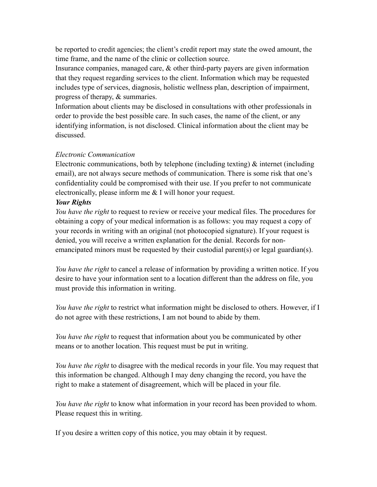be reported to credit agencies; the client's credit report may state the owed amount, the time frame, and the name of the clinic or collection source.

Insurance companies, managed care, & other third-party payers are given information that they request regarding services to the client. Information which may be requested includes type of services, diagnosis, holistic wellness plan, description of impairment, progress of therapy, & summaries.

Information about clients may be disclosed in consultations with other professionals in order to provide the best possible care. In such cases, the name of the client, or any identifying information, is not disclosed. Clinical information about the client may be discussed.

## *Electronic Communication*

Electronic communications, both by telephone (including texting)  $\&$  internet (including email), are not always secure methods of communication. There is some risk that one's confidentiality could be compromised with their use. If you prefer to not communicate electronically, please inform me & I will honor your request.

## *Your Rights*

*You have the right* to request to review or receive your medical files. The procedures for obtaining a copy of your medical information is as follows: you may request a copy of your records in writing with an original (not photocopied signature). If your request is denied, you will receive a written explanation for the denial. Records for nonemancipated minors must be requested by their custodial parent(s) or legal guardian(s).

*You have the right* to cancel a release of information by providing a written notice. If you desire to have your information sent to a location different than the address on file, you must provide this information in writing.

*You have the right* to restrict what information might be disclosed to others. However, if I do not agree with these restrictions, I am not bound to abide by them.

*You have the right* to request that information about you be communicated by other means or to another location. This request must be put in writing.

*You have the right* to disagree with the medical records in your file. You may request that this information be changed. Although I may deny changing the record, you have the right to make a statement of disagreement, which will be placed in your file.

*You have the right* to know what information in your record has been provided to whom. Please request this in writing.

If you desire a written copy of this notice, you may obtain it by request.